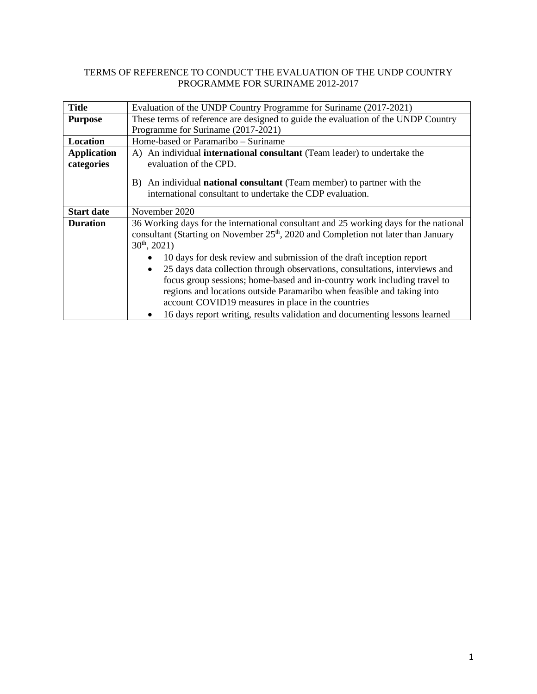# TERMS OF REFERENCE TO CONDUCT THE EVALUATION OF THE UNDP COUNTRY PROGRAMME FOR SURINAME 2012-2017

| <b>Title</b>                     | Evaluation of the UNDP Country Programme for Suriname (2017-2021)                                                                                                                                                                                                                                                                                                                  |  |  |  |  |
|----------------------------------|------------------------------------------------------------------------------------------------------------------------------------------------------------------------------------------------------------------------------------------------------------------------------------------------------------------------------------------------------------------------------------|--|--|--|--|
| <b>Purpose</b>                   | These terms of reference are designed to guide the evaluation of the UNDP Country                                                                                                                                                                                                                                                                                                  |  |  |  |  |
|                                  | Programme for Suriname (2017-2021)                                                                                                                                                                                                                                                                                                                                                 |  |  |  |  |
| Location                         | Home-based or Paramaribo – Suriname                                                                                                                                                                                                                                                                                                                                                |  |  |  |  |
| <b>Application</b><br>categories | A) An individual international consultant (Team leader) to undertake the<br>evaluation of the CPD.                                                                                                                                                                                                                                                                                 |  |  |  |  |
|                                  | B) An individual <b>national consultant</b> (Team member) to partner with the<br>international consultant to undertake the CDP evaluation.                                                                                                                                                                                                                                         |  |  |  |  |
| <b>Start date</b>                | November 2020                                                                                                                                                                                                                                                                                                                                                                      |  |  |  |  |
| <b>Duration</b>                  | 36 Working days for the international consultant and 25 working days for the national<br>consultant (Starting on November 25 <sup>th</sup> , 2020 and Completion not later than January<br>$30^{th}$ , 2021)<br>10 days for desk review and submission of the draft inception report                                                                                               |  |  |  |  |
|                                  | 25 days data collection through observations, consultations, interviews and<br>$\bullet$<br>focus group sessions; home-based and in-country work including travel to<br>regions and locations outside Paramaribo when feasible and taking into<br>account COVID19 measures in place in the countries<br>16 days report writing, results validation and documenting lessons learned |  |  |  |  |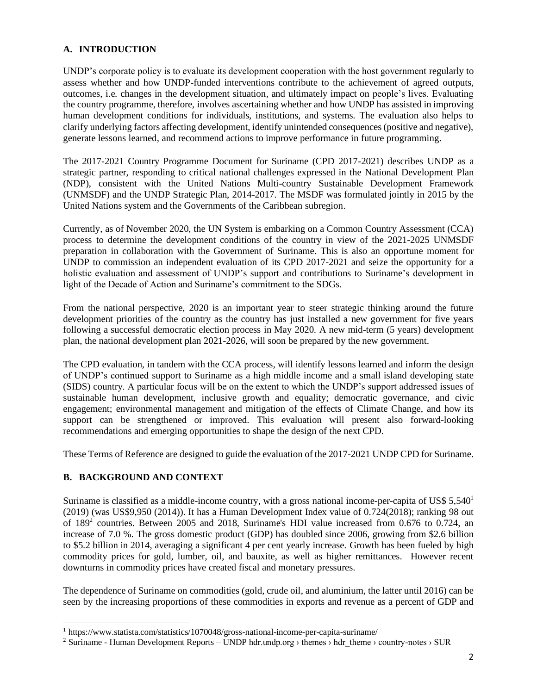### **A. INTRODUCTION**

UNDP's corporate policy is to evaluate its development cooperation with the host government regularly to assess whether and how UNDP-funded interventions contribute to the achievement of agreed outputs, outcomes, i.e. changes in the development situation, and ultimately impact on people's lives. Evaluating the country programme, therefore, involves ascertaining whether and how UNDP has assisted in improving human development conditions for individuals, institutions, and systems. The evaluation also helps to clarify underlying factors affecting development, identify unintended consequences (positive and negative), generate lessons learned, and recommend actions to improve performance in future programming.

The 2017-2021 Country Programme Document for Suriname (CPD 2017-2021) describes UNDP as a strategic partner, responding to critical national challenges expressed in the National Development Plan (NDP), consistent with the United Nations Multi-country Sustainable Development Framework (UNMSDF) and the UNDP Strategic Plan, 2014-2017. The MSDF was formulated jointly in 2015 by the United Nations system and the Governments of the Caribbean subregion.

Currently, as of November 2020, the UN System is embarking on a Common Country Assessment (CCA) process to determine the development conditions of the country in view of the 2021-2025 UNMSDF preparation in collaboration with the Government of Suriname. This is also an opportune moment for UNDP to commission an independent evaluation of its CPD 2017-2021 and seize the opportunity for a holistic evaluation and assessment of UNDP's support and contributions to Suriname's development in light of the Decade of Action and Suriname's commitment to the SDGs.

From the national perspective, 2020 is an important year to steer strategic thinking around the future development priorities of the country as the country has just installed a new government for five years following a successful democratic election process in May 2020. A new mid-term (5 years) development plan, the national development plan 2021-2026, will soon be prepared by the new government.

The CPD evaluation, in tandem with the CCA process, will identify lessons learned and inform the design of UNDP's continued support to Suriname as a high middle income and a small island developing state (SIDS) country. A particular focus will be on the extent to which the UNDP's support addressed issues of sustainable human development, inclusive growth and equality; democratic governance, and civic engagement; environmental management and mitigation of the effects of Climate Change, and how its support can be strengthened or improved. This evaluation will present also forward-looking recommendations and emerging opportunities to shape the design of the next CPD.

These Terms of Reference are designed to guide the evaluation of the 2017-2021 UNDP CPD for Suriname.

# **B. BACKGROUND AND CONTEXT**

Suriname is classified as a middle-income country, with a gross national income-per-capita of US\$ 5,540<sup>1</sup> (2019) (was US\$9,950 (2014)). It has a Human Development Index value of 0.724(2018); ranking 98 out of 189<sup>2</sup> countries. Between 2005 and 2018, Suriname's HDI value increased from 0.676 to 0.724, an increase of 7.0 %. The gross domestic product (GDP) has doubled since 2006, growing from \$2.6 billion to \$5.2 billion in 2014, averaging a significant 4 per cent yearly increase. Growth has been fueled by high commodity prices for gold, lumber, oil, and bauxite, as well as higher remittances. However recent downturns in commodity prices have created fiscal and monetary pressures.

The dependence of Suriname on commodities (gold, crude oil, and aluminium, the latter until 2016) can be seen by the increasing proportions of these commodities in exports and revenue as a percent of GDP and

<sup>1</sup> https://www.statista.com/statistics/1070048/gross-national-income-per-capita-suriname/

<sup>&</sup>lt;sup>2</sup> Suriname - Human Development Reports – UNDP hdr.undp.org  $\rightarrow$  themes  $\rightarrow$  hdr theme  $\rightarrow$  country-notes  $\rightarrow$  SUR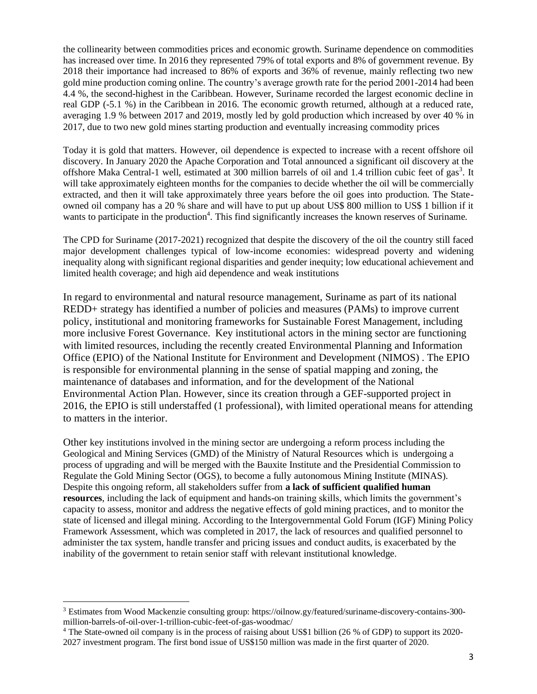the collinearity between commodities prices and economic growth. Suriname dependence on commodities has increased over time. In 2016 they represented 79% of total exports and 8% of government revenue. By 2018 their importance had increased to 86% of exports and 36% of revenue, mainly reflecting two new gold mine production coming online. The country's average growth rate for the period 2001-2014 had been 4.4 %, the second-highest in the Caribbean. However, Suriname recorded the largest economic decline in real GDP (-5.1 %) in the Caribbean in 2016. The economic growth returned, although at a reduced rate, averaging 1.9 % between 2017 and 2019, mostly led by gold production which increased by over 40 % in 2017, due to two new gold mines starting production and eventually increasing commodity prices

Today it is gold that matters. However, oil dependence is expected to increase with a recent offshore oil discovery. In January 2020 the Apache Corporation and Total announced a significant oil discovery at the offshore Maka Central-1 well, estimated at 300 million barrels of oil and 1.4 trillion cubic feet of gas<sup>3</sup>. It will take approximately eighteen months for the companies to decide whether the oil will be commercially extracted, and then it will take approximately three years before the oil goes into production. The Stateowned oil company has a 20 % share and will have to put up about US\$ 800 million to US\$ 1 billion if it wants to participate in the production<sup>4</sup>. This find significantly increases the known reserves of Suriname.

The CPD for Suriname (2017-2021) recognized that despite the discovery of the oil the country still faced major development challenges typical of low-income economies: widespread poverty and widening inequality along with significant regional disparities and gender inequity; low educational achievement and limited health coverage; and high aid dependence and weak institutions

In regard to environmental and natural resource management, Suriname as part of its national REDD+ strategy has identified a number of policies and measures (PAMs) to improve current policy, institutional and monitoring frameworks for Sustainable Forest Management, including more inclusive Forest Governance. Key institutional actors in the mining sector are functioning with limited resources, including the recently created Environmental Planning and Information Office (EPIO) of the National Institute for Environment and Development (NIMOS) . The EPIO is responsible for environmental planning in the sense of spatial mapping and zoning, the maintenance of databases and information, and for the development of the National Environmental Action Plan. However, since its creation through a GEF-supported project in 2016, the EPIO is still understaffed (1 professional), with limited operational means for attending to matters in the interior.

Other key institutions involved in the mining sector are undergoing a reform process including the Geological and Mining Services (GMD) of the Ministry of Natural Resources which is undergoing a process of upgrading and will be merged with the Bauxite Institute and the Presidential Commission to Regulate the Gold Mining Sector (OGS), to become a fully autonomous Mining Institute (MINAS). Despite this ongoing reform, all stakeholders suffer from **a lack of sufficient qualified human resources**, including the lack of equipment and hands-on training skills, which limits the government's capacity to assess, monitor and address the negative effects of gold mining practices, and to monitor the state of licensed and illegal mining. According to the Intergovernmental Gold Forum (IGF) Mining Policy Framework Assessment, which was completed in 2017, the lack of resources and qualified personnel to administer the tax system, handle transfer and pricing issues and conduct audits, is exacerbated by the inability of the government to retain senior staff with relevant institutional knowledge.

<sup>3</sup> Estimates from Wood Mackenzie consulting group: https://oilnow.gy/featured/suriname-discovery-contains-300 million-barrels-of-oil-over-1-trillion-cubic-feet-of-gas-woodmac/

<sup>4</sup> The State-owned oil company is in the process of raising about US\$1 billion (26 % of GDP) to support its 2020- 2027 investment program. The first bond issue of US\$150 million was made in the first quarter of 2020.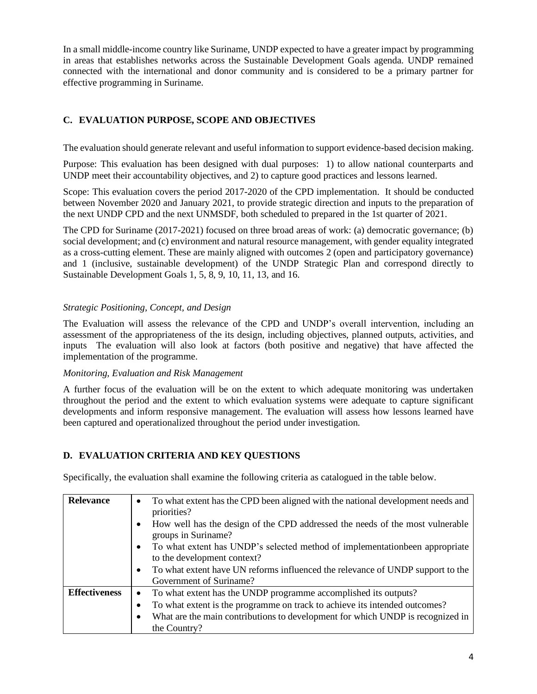In a small middle-income country like Suriname, UNDP expected to have a greater impact by programming in areas that establishes networks across the Sustainable Development Goals agenda. UNDP remained connected with the international and donor community and is considered to be a primary partner for effective programming in Suriname.

# **C. EVALUATION PURPOSE, SCOPE AND OBJECTIVES**

The evaluation should generate relevant and useful information to support evidence-based decision making.

Purpose: This evaluation has been designed with dual purposes: 1) to allow national counterparts and UNDP meet their accountability objectives, and 2) to capture good practices and lessons learned.

Scope: This evaluation covers the period 2017-2020 of the CPD implementation. It should be conducted between November 2020 and January 2021, to provide strategic direction and inputs to the preparation of the next UNDP CPD and the next UNMSDF, both scheduled to prepared in the 1st quarter of 2021.

The CPD for Suriname (2017-2021) focused on three broad areas of work: (a) democratic governance; (b) social development; and (c) environment and natural resource management, with gender equality integrated as a cross-cutting element. These are mainly aligned with outcomes 2 (open and participatory governance) and 1 (inclusive, sustainable development) of the UNDP Strategic Plan and correspond directly to Sustainable Development Goals 1, 5, 8, 9, 10, 11, 13, and 16.

# *Strategic Positioning, Concept, and Design*

The Evaluation will assess the relevance of the CPD and UNDP's overall intervention, including an assessment of the appropriateness of the its design, including objectives, planned outputs, activities, and inputs The evaluation will also look at factors (both positive and negative) that have affected the implementation of the programme.

# *Monitoring, Evaluation and Risk Management*

A further focus of the evaluation will be on the extent to which adequate monitoring was undertaken throughout the period and the extent to which evaluation systems were adequate to capture significant developments and inform responsive management. The evaluation will assess how lessons learned have been captured and operationalized throughout the period under investigation.

# **D. EVALUATION CRITERIA AND KEY QUESTIONS**

Specifically, the evaluation shall examine the following criteria as catalogued in the table below.

| <b>Relevance</b>     | To what extent has the CPD been aligned with the national development needs and<br>$\bullet$<br>priorities?              |  |  |  |  |
|----------------------|--------------------------------------------------------------------------------------------------------------------------|--|--|--|--|
|                      | How well has the design of the CPD addressed the needs of the most vulnerable<br>groups in Suriname?                     |  |  |  |  |
|                      | To what extent has UNDP's selected method of implementation been appropriate<br>$\bullet$<br>to the development context? |  |  |  |  |
|                      | To what extent have UN reforms influenced the relevance of UNDP support to the<br>$\bullet$                              |  |  |  |  |
|                      | Government of Suriname?                                                                                                  |  |  |  |  |
| <b>Effectiveness</b> | To what extent has the UNDP programme accomplished its outputs?<br>$\bullet$                                             |  |  |  |  |
|                      | To what extent is the programme on track to achieve its intended outcomes?                                               |  |  |  |  |
|                      | What are the main contributions to development for which UNDP is recognized in                                           |  |  |  |  |
|                      | the Country?                                                                                                             |  |  |  |  |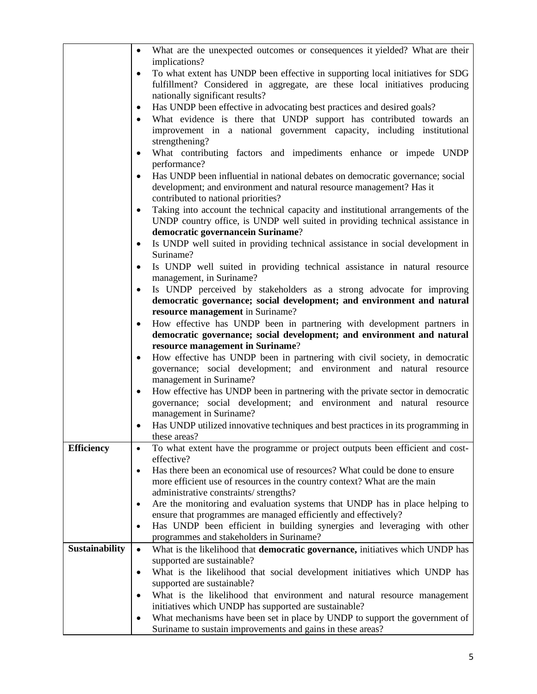|                   | What are the unexpected outcomes or consequences it yielded? What are their<br>$\bullet$<br>implications?                                                                                                                                                                                  |  |  |  |  |  |  |
|-------------------|--------------------------------------------------------------------------------------------------------------------------------------------------------------------------------------------------------------------------------------------------------------------------------------------|--|--|--|--|--|--|
|                   | To what extent has UNDP been effective in supporting local initiatives for SDG                                                                                                                                                                                                             |  |  |  |  |  |  |
|                   | $\bullet$<br>fulfillment? Considered in aggregate, are these local initiatives producing<br>nationally significant results?<br>Has UNDP been effective in advocating best practices and desired goals?<br>$\bullet$<br>What evidence is there that UNDP support has contributed towards an |  |  |  |  |  |  |
|                   |                                                                                                                                                                                                                                                                                            |  |  |  |  |  |  |
|                   |                                                                                                                                                                                                                                                                                            |  |  |  |  |  |  |
|                   |                                                                                                                                                                                                                                                                                            |  |  |  |  |  |  |
|                   | $\bullet$                                                                                                                                                                                                                                                                                  |  |  |  |  |  |  |
|                   | improvement in a national government capacity, including institutional                                                                                                                                                                                                                     |  |  |  |  |  |  |
|                   | strengthening?                                                                                                                                                                                                                                                                             |  |  |  |  |  |  |
|                   | What contributing factors and impediments enhance or impede UNDP<br>$\bullet$                                                                                                                                                                                                              |  |  |  |  |  |  |
|                   | performance?                                                                                                                                                                                                                                                                               |  |  |  |  |  |  |
|                   | Has UNDP been influential in national debates on democratic governance; social<br>$\bullet$                                                                                                                                                                                                |  |  |  |  |  |  |
|                   | development; and environment and natural resource management? Has it                                                                                                                                                                                                                       |  |  |  |  |  |  |
|                   | contributed to national priorities?<br>Taking into account the technical capacity and institutional arrangements of the<br>$\bullet$                                                                                                                                                       |  |  |  |  |  |  |
|                   |                                                                                                                                                                                                                                                                                            |  |  |  |  |  |  |
|                   | UNDP country office, is UNDP well suited in providing technical assistance in                                                                                                                                                                                                              |  |  |  |  |  |  |
|                   | democratic governancein Suriname?                                                                                                                                                                                                                                                          |  |  |  |  |  |  |
|                   | Is UNDP well suited in providing technical assistance in social development in<br>$\bullet$                                                                                                                                                                                                |  |  |  |  |  |  |
|                   | Suriname?                                                                                                                                                                                                                                                                                  |  |  |  |  |  |  |
|                   | Is UNDP well suited in providing technical assistance in natural resource<br>$\bullet$                                                                                                                                                                                                     |  |  |  |  |  |  |
|                   | management, in Suriname?                                                                                                                                                                                                                                                                   |  |  |  |  |  |  |
|                   | Is UNDP perceived by stakeholders as a strong advocate for improving<br>$\bullet$                                                                                                                                                                                                          |  |  |  |  |  |  |
|                   | democratic governance; social development; and environment and natural                                                                                                                                                                                                                     |  |  |  |  |  |  |
|                   | resource management in Suriname?                                                                                                                                                                                                                                                           |  |  |  |  |  |  |
|                   | How effective has UNDP been in partnering with development partners in<br>$\bullet$                                                                                                                                                                                                        |  |  |  |  |  |  |
|                   | democratic governance; social development; and environment and natural                                                                                                                                                                                                                     |  |  |  |  |  |  |
|                   | resource management in Suriname?                                                                                                                                                                                                                                                           |  |  |  |  |  |  |
|                   | How effective has UNDP been in partnering with civil society, in democratic<br>$\bullet$                                                                                                                                                                                                   |  |  |  |  |  |  |
|                   | governance; social development; and environment and natural resource                                                                                                                                                                                                                       |  |  |  |  |  |  |
|                   | management in Suriname?                                                                                                                                                                                                                                                                    |  |  |  |  |  |  |
|                   | How effective has UNDP been in partnering with the private sector in democratic<br>$\bullet$                                                                                                                                                                                               |  |  |  |  |  |  |
|                   | governance; social development; and environment and natural resource                                                                                                                                                                                                                       |  |  |  |  |  |  |
|                   | management in Suriname?                                                                                                                                                                                                                                                                    |  |  |  |  |  |  |
|                   | Has UNDP utilized innovative techniques and best practices in its programming in                                                                                                                                                                                                           |  |  |  |  |  |  |
|                   | these areas?                                                                                                                                                                                                                                                                               |  |  |  |  |  |  |
| <b>Efficiency</b> | To what extent have the programme or project outputs been efficient and cost-<br>$\bullet$                                                                                                                                                                                                 |  |  |  |  |  |  |
|                   | effective?                                                                                                                                                                                                                                                                                 |  |  |  |  |  |  |
|                   | Has there been an economical use of resources? What could be done to ensure<br>$\bullet$                                                                                                                                                                                                   |  |  |  |  |  |  |
|                   | more efficient use of resources in the country context? What are the main                                                                                                                                                                                                                  |  |  |  |  |  |  |
|                   | administrative constraints/strengths?                                                                                                                                                                                                                                                      |  |  |  |  |  |  |
|                   | Are the monitoring and evaluation systems that UNDP has in place helping to<br>$\bullet$                                                                                                                                                                                                   |  |  |  |  |  |  |
|                   | ensure that programmes are managed efficiently and effectively?<br>Has UNDP been efficient in building synergies and leveraging with other                                                                                                                                                 |  |  |  |  |  |  |
|                   | $\bullet$<br>programmes and stakeholders in Suriname?                                                                                                                                                                                                                                      |  |  |  |  |  |  |
| Sustainability    |                                                                                                                                                                                                                                                                                            |  |  |  |  |  |  |
|                   | What is the likelihood that democratic governance, initiatives which UNDP has<br>$\bullet$<br>supported are sustainable?                                                                                                                                                                   |  |  |  |  |  |  |
|                   | What is the likelihood that social development initiatives which UNDP has<br>$\bullet$                                                                                                                                                                                                     |  |  |  |  |  |  |
|                   | supported are sustainable?                                                                                                                                                                                                                                                                 |  |  |  |  |  |  |
|                   | What is the likelihood that environment and natural resource management<br>٠                                                                                                                                                                                                               |  |  |  |  |  |  |
|                   | initiatives which UNDP has supported are sustainable?                                                                                                                                                                                                                                      |  |  |  |  |  |  |
|                   | What mechanisms have been set in place by UNDP to support the government of<br>$\bullet$                                                                                                                                                                                                   |  |  |  |  |  |  |
|                   | Suriname to sustain improvements and gains in these areas?                                                                                                                                                                                                                                 |  |  |  |  |  |  |
|                   |                                                                                                                                                                                                                                                                                            |  |  |  |  |  |  |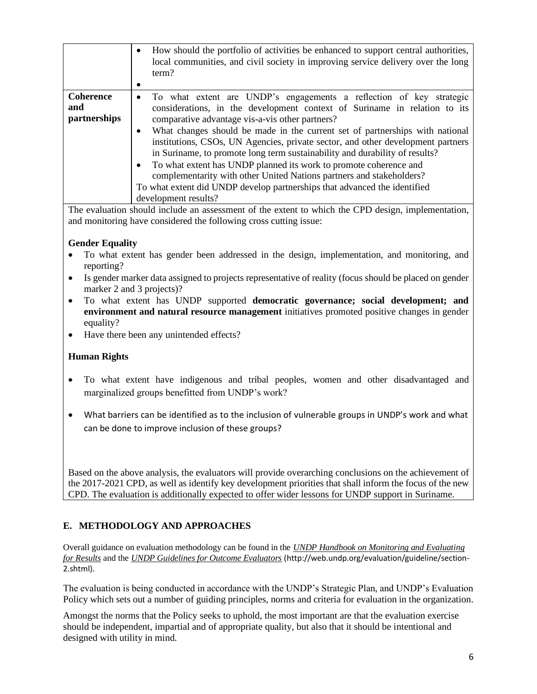|                                         | How should the portfolio of activities be enhanced to support central authorities,<br>$\bullet$<br>local communities, and civil society in improving service delivery over the long<br>term?                                                                                                                                                                                                                                                                                                                                                                                                                                                                                                                                   |
|-----------------------------------------|--------------------------------------------------------------------------------------------------------------------------------------------------------------------------------------------------------------------------------------------------------------------------------------------------------------------------------------------------------------------------------------------------------------------------------------------------------------------------------------------------------------------------------------------------------------------------------------------------------------------------------------------------------------------------------------------------------------------------------|
| <b>Coherence</b><br>and<br>partnerships | To what extent are UNDP's engagements a reflection of key strategic<br>٠<br>considerations, in the development context of Suriname in relation to its<br>comparative advantage vis-a-vis other partners?<br>What changes should be made in the current set of partnerships with national<br>٠<br>institutions, CSOs, UN Agencies, private sector, and other development partners<br>in Suriname, to promote long term sustainability and durability of results?<br>To what extent has UNDP planned its work to promote coherence and<br>$\bullet$<br>complementarity with other United Nations partners and stakeholders?<br>To what extent did UNDP develop partnerships that advanced the identified<br>development results? |

The evaluation should include an assessment of the extent to which the CPD design, implementation, and monitoring have considered the following cross cutting issue:

# **Gender Equality**

- To what extent has gender been addressed in the design, implementation, and monitoring, and reporting?
- Is gender marker data assigned to projects representative of reality (focus should be placed on gender marker 2 and 3 projects)?
- To what extent has UNDP supported **democratic governance; social development; and environment and natural resource management** initiatives promoted positive changes in gender equality?
- Have there been any unintended effects?

# **Human Rights**

- To what extent have indigenous and tribal peoples, women and other disadvantaged and marginalized groups benefitted from UNDP's work?
- What barriers can be identified as to the inclusion of vulnerable groups in UNDP's work and what can be done to improve inclusion of these groups?

Based on the above analysis, the evaluators will provide overarching conclusions on the achievement of the 2017-2021 CPD, as well as identify key development priorities that shall inform the focus of the new CPD. The evaluation is additionally expected to offer wider lessons for UNDP support in Suriname.

# **E. METHODOLOGY AND APPROACHES**

Overall guidance on evaluation methodology can be found in the *UNDP Handbook on Monitoring and Evaluating for Results* and the *UNDP Guidelines for Outcome Evaluators* (http://web.undp.org/evaluation/guideline/section-2.shtml).

The evaluation is being conducted in accordance with the UNDP's Strategic Plan, and UNDP's Evaluation Policy which sets out a number of guiding principles, norms and criteria for evaluation in the organization.

Amongst the norms that the Policy seeks to uphold, the most important are that the evaluation exercise should be independent, impartial and of appropriate quality, but also that it should be intentional and designed with utility in mind.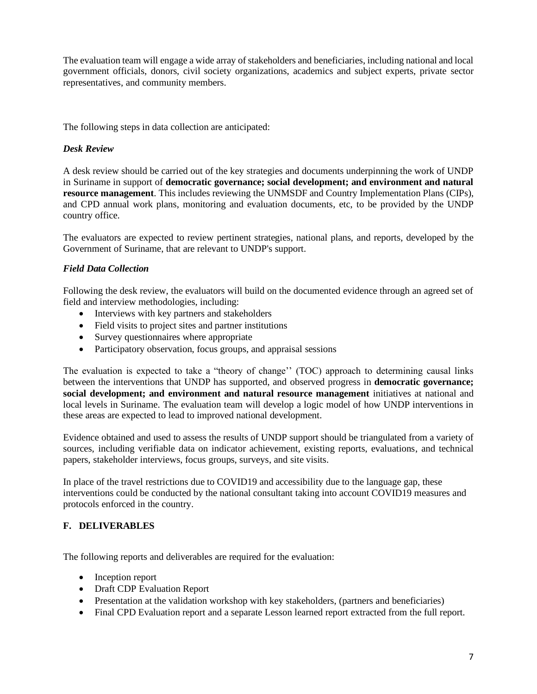The evaluation team will engage a wide array of stakeholders and beneficiaries, including national and local government officials, donors, civil society organizations, academics and subject experts, private sector representatives, and community members.

The following steps in data collection are anticipated:

### *Desk Review*

A desk review should be carried out of the key strategies and documents underpinning the work of UNDP in Suriname in support of **democratic governance; social development; and environment and natural resource management**. This includes reviewing the UNMSDF and Country Implementation Plans (CIPs), and CPD annual work plans, monitoring and evaluation documents, etc, to be provided by the UNDP country office.

The evaluators are expected to review pertinent strategies, national plans, and reports, developed by the Government of Suriname, that are relevant to UNDP's support.

### *Field Data Collection*

Following the desk review, the evaluators will build on the documented evidence through an agreed set of field and interview methodologies, including:

- Interviews with key partners and stakeholders
- Field visits to project sites and partner institutions
- Survey questionnaires where appropriate
- Participatory observation, focus groups, and appraisal sessions

The evaluation is expected to take a "theory of change'' (TOC) approach to determining causal links between the interventions that UNDP has supported, and observed progress in **democratic governance; social development; and environment and natural resource management** initiatives at national and local levels in Suriname. The evaluation team will develop a logic model of how UNDP interventions in these areas are expected to lead to improved national development.

Evidence obtained and used to assess the results of UNDP support should be triangulated from a variety of sources, including verifiable data on indicator achievement, existing reports, evaluations, and technical papers, stakeholder interviews, focus groups, surveys, and site visits.

In place of the travel restrictions due to COVID19 and accessibility due to the language gap, these interventions could be conducted by the national consultant taking into account COVID19 measures and protocols enforced in the country.

# **F. DELIVERABLES**

The following reports and deliverables are required for the evaluation:

- Inception report
- Draft CDP Evaluation Report
- Presentation at the validation workshop with key stakeholders, (partners and beneficiaries)
- Final CPD Evaluation report and a separate Lesson learned report extracted from the full report.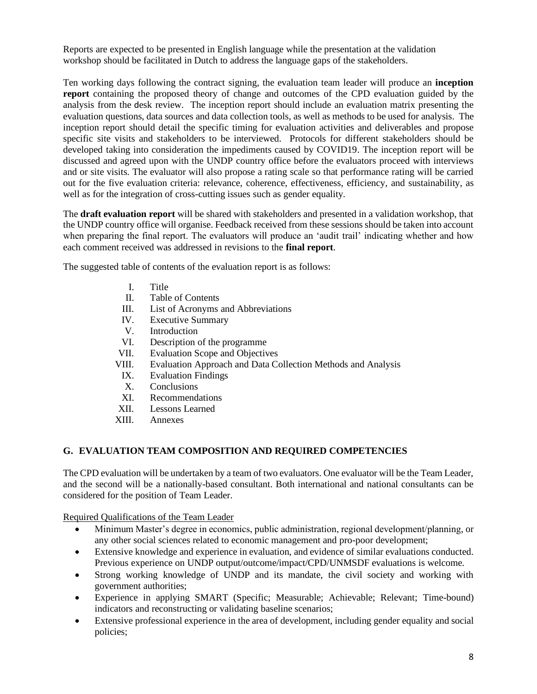Reports are expected to be presented in English language while the presentation at the validation workshop should be facilitated in Dutch to address the language gaps of the stakeholders.

Ten working days following the contract signing, the evaluation team leader will produce an **inception report** containing the proposed theory of change and outcomes of the CPD evaluation guided by the analysis from the desk review. The inception report should include an evaluation matrix presenting the evaluation questions, data sources and data collection tools, as well as methods to be used for analysis. The inception report should detail the specific timing for evaluation activities and deliverables and propose specific site visits and stakeholders to be interviewed. Protocols for different stakeholders should be developed taking into consideration the impediments caused by COVID19. The inception report will be discussed and agreed upon with the UNDP country office before the evaluators proceed with interviews and or site visits. The evaluator will also propose a rating scale so that performance rating will be carried out for the five evaluation criteria: relevance, coherence, effectiveness, efficiency, and sustainability, as well as for the integration of cross-cutting issues such as gender equality.

The **draft evaluation report** will be shared with stakeholders and presented in a validation workshop, that the UNDP country office will organise. Feedback received from these sessions should be taken into account when preparing the final report. The evaluators will produce an 'audit trail' indicating whether and how each comment received was addressed in revisions to the **final report**.

The suggested table of contents of the evaluation report is as follows:

- I. Title
- II. Table of Contents
- III. List of Acronyms and Abbreviations
- IV. Executive Summary
- V. Introduction
- VI. Description of the programme
- VII. Evaluation Scope and Objectives
- VIII. Evaluation Approach and Data Collection Methods and Analysis
	- IX. Evaluation Findings
	- X. Conclusions
	- XI. Recommendations
- XII. Lessons Learned
- XIII. Annexes

# **G. EVALUATION TEAM COMPOSITION AND REQUIRED COMPETENCIES**

The CPD evaluation will be undertaken by a team of two evaluators. One evaluator will be the Team Leader, and the second will be a nationally-based consultant. Both international and national consultants can be considered for the position of Team Leader.

Required Qualifications of the Team Leader

- Minimum Master's degree in economics, public administration, regional development/planning, or any other social sciences related to economic management and pro-poor development;
- Extensive knowledge and experience in evaluation, and evidence of similar evaluations conducted. Previous experience on UNDP output/outcome/impact/CPD/UNMSDF evaluations is welcome.
- Strong working knowledge of UNDP and its mandate, the civil society and working with government authorities;
- Experience in applying SMART (Specific; Measurable; Achievable; Relevant; Time-bound) indicators and reconstructing or validating baseline scenarios;
- Extensive professional experience in the area of development, including gender equality and social policies;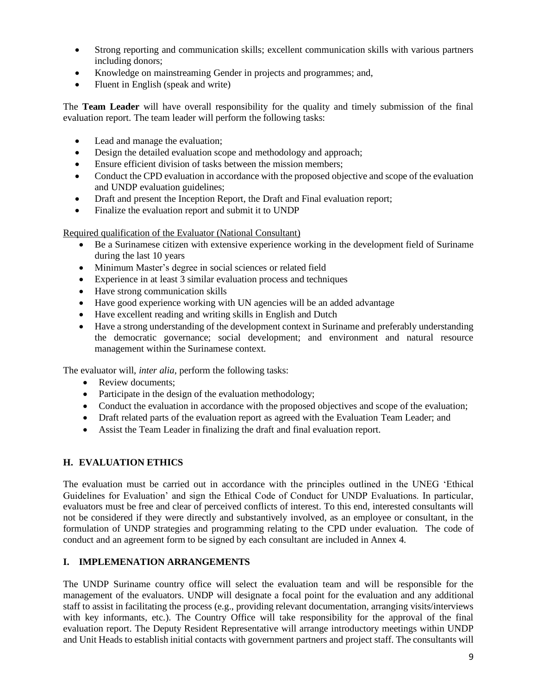- Strong reporting and communication skills; excellent communication skills with various partners including donors;
- Knowledge on mainstreaming Gender in projects and programmes; and,
- Fluent in English (speak and write)

The **Team Leader** will have overall responsibility for the quality and timely submission of the final evaluation report. The team leader will perform the following tasks:

- Lead and manage the evaluation;
- Design the detailed evaluation scope and methodology and approach;
- Ensure efficient division of tasks between the mission members;
- Conduct the CPD evaluation in accordance with the proposed objective and scope of the evaluation and UNDP evaluation guidelines;
- Draft and present the Inception Report, the Draft and Final evaluation report;
- Finalize the evaluation report and submit it to UNDP

### Required qualification of the Evaluator (National Consultant)

- Be a Surinamese citizen with extensive experience working in the development field of Suriname during the last 10 years
- Minimum Master's degree in social sciences or related field
- Experience in at least 3 similar evaluation process and techniques
- Have strong communication skills
- Have good experience working with UN agencies will be an added advantage
- Have excellent reading and writing skills in English and Dutch
- Have a strong understanding of the development context in Suriname and preferably understanding the democratic governance; social development; and environment and natural resource management within the Surinamese context.

The evaluator will, *inter alia*, perform the following tasks:

- Review documents;
- Participate in the design of the evaluation methodology;
- Conduct the evaluation in accordance with the proposed objectives and scope of the evaluation;
- Draft related parts of the evaluation report as agreed with the Evaluation Team Leader; and
- Assist the Team Leader in finalizing the draft and final evaluation report.

# **H. EVALUATION ETHICS**

The evaluation must be carried out in accordance with the principles outlined in the UNEG 'Ethical Guidelines for Evaluation' and sign the Ethical Code of Conduct for UNDP Evaluations. In particular, evaluators must be free and clear of perceived conflicts of interest. To this end, interested consultants will not be considered if they were directly and substantively involved, as an employee or consultant, in the formulation of UNDP strategies and programming relating to the CPD under evaluation. The code of conduct and an agreement form to be signed by each consultant are included in Annex 4.

# **I. IMPLEMENATION ARRANGEMENTS**

The UNDP Suriname country office will select the evaluation team and will be responsible for the management of the evaluators. UNDP will designate a focal point for the evaluation and any additional staff to assist in facilitating the process (e.g., providing relevant documentation, arranging visits/interviews with key informants, etc.). The Country Office will take responsibility for the approval of the final evaluation report. The Deputy Resident Representative will arrange introductory meetings within UNDP and Unit Heads to establish initial contacts with government partners and project staff. The consultants will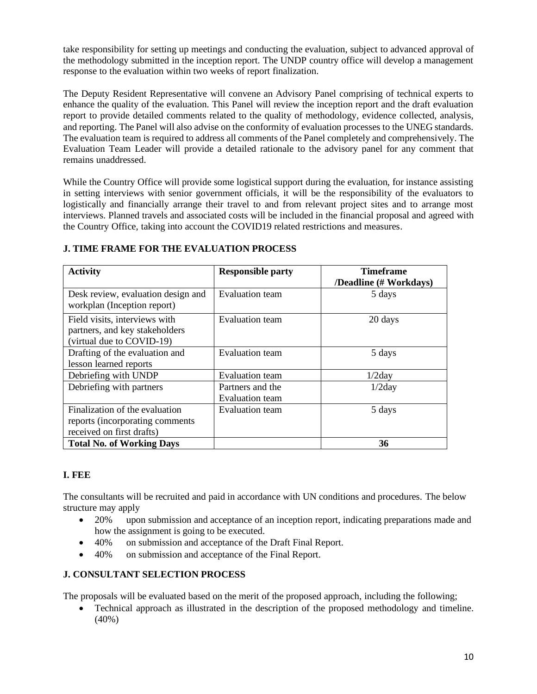take responsibility for setting up meetings and conducting the evaluation, subject to advanced approval of the methodology submitted in the inception report. The UNDP country office will develop a management response to the evaluation within two weeks of report finalization.

The Deputy Resident Representative will convene an Advisory Panel comprising of technical experts to enhance the quality of the evaluation. This Panel will review the inception report and the draft evaluation report to provide detailed comments related to the quality of methodology, evidence collected, analysis, and reporting. The Panel will also advise on the conformity of evaluation processes to the UNEG standards. The evaluation team is required to address all comments of the Panel completely and comprehensively. The Evaluation Team Leader will provide a detailed rationale to the advisory panel for any comment that remains unaddressed.

While the Country Office will provide some logistical support during the evaluation, for instance assisting in setting interviews with senior government officials, it will be the responsibility of the evaluators to logistically and financially arrange their travel to and from relevant project sites and to arrange most interviews. Planned travels and associated costs will be included in the financial proposal and agreed with the Country Office, taking into account the COVID19 related restrictions and measures.

| <b>Activity</b>                                                                                | <b>Responsible party</b>                   | <b>Timeframe</b><br>/Deadline (# Workdays) |
|------------------------------------------------------------------------------------------------|--------------------------------------------|--------------------------------------------|
| Desk review, evaluation design and<br>workplan (Inception report)                              | <b>Evaluation team</b>                     | 5 days                                     |
| Field visits, interviews with<br>partners, and key stakeholders<br>(virtual due to COVID-19)   | <b>Evaluation</b> team                     | 20 days                                    |
| Drafting of the evaluation and<br>lesson learned reports                                       | <b>Evaluation</b> team                     | 5 days                                     |
| Debriefing with UNDP                                                                           | Evaluation team                            | 1/2day                                     |
| Debriefing with partners                                                                       | Partners and the<br><b>Evaluation team</b> | 1/2day                                     |
| Finalization of the evaluation<br>reports (incorporating comments<br>received on first drafts) | <b>Evaluation</b> team                     | 5 days                                     |
| <b>Total No. of Working Days</b>                                                               |                                            | 36                                         |

# **J. TIME FRAME FOR THE EVALUATION PROCESS**

# **I. FEE**

The consultants will be recruited and paid in accordance with UN conditions and procedures. The below structure may apply

- 20% upon submission and acceptance of an inception report, indicating preparations made and how the assignment is going to be executed.
- 40% on submission and acceptance of the Draft Final Report.
- 40% on submission and acceptance of the Final Report.

# **J. CONSULTANT SELECTION PROCESS**

The proposals will be evaluated based on the merit of the proposed approach, including the following;

• Technical approach as illustrated in the description of the proposed methodology and timeline. (40%)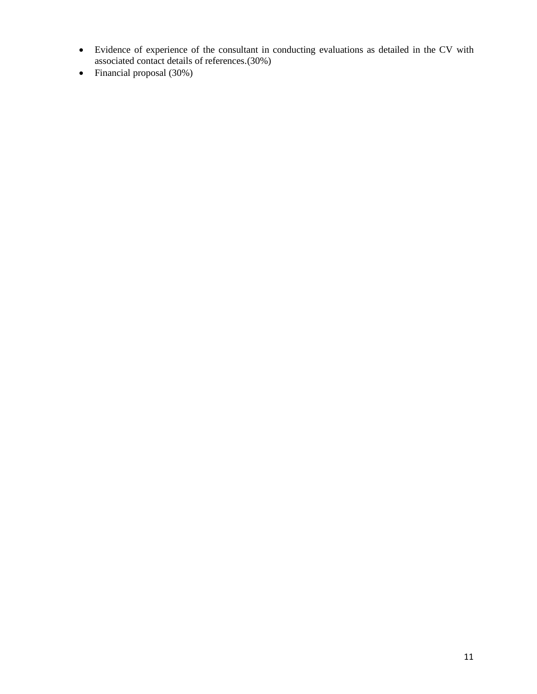- Evidence of experience of the consultant in conducting evaluations as detailed in the CV with associated contact details of references.(30%)
- Financial proposal (30%)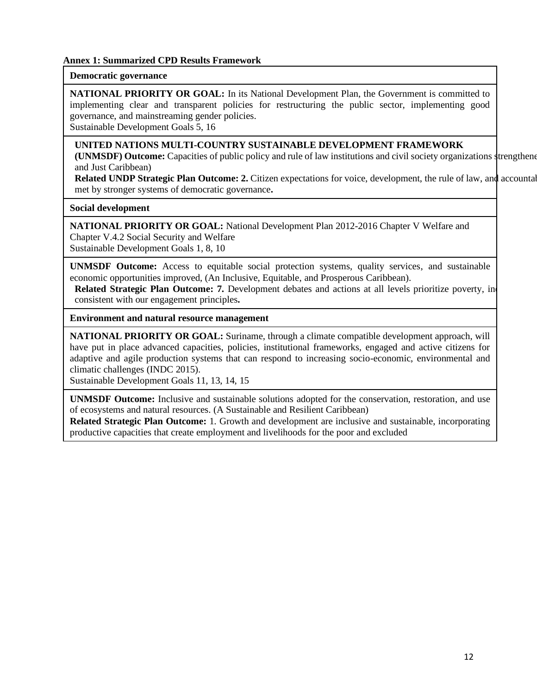### **Annex 1: Summarized CPD Results Framework**

### **Democratic governance**

**NATIONAL PRIORITY OR GOAL:** In its National Development Plan, the Government is committed to implementing clear and transparent policies for restructuring the public sector, implementing good governance, and mainstreaming gender policies.

Sustainable Development Goals 5, 16

### **UNITED NATIONS MULTI-COUNTRY SUSTAINABLE DEVELOPMENT FRAMEWORK**

**(UNMSDF)** Outcome: Capacities of public policy and rule of law institutions and civil society organizations strengthened. and Just Caribbean)

**Related UNDP Strategic Plan Outcome: 2.** Citizen expectations for voice, development, the rule of law, and accountable met by stronger systems of democratic governance**.** 

**Social development**

**NATIONAL PRIORITY OR GOAL:** National Development Plan 2012-2016 Chapter V Welfare and Chapter V.4.2 Social Security and Welfare Sustainable Development Goals 1, 8, 10

**UNMSDF Outcome:** Access to equitable social protection systems, quality services, and sustainable economic opportunities improved, (An Inclusive, Equitable, and Prosperous Caribbean).

**Related Strategic Plan Outcome: 7.** Development debates and actions at all levels prioritize poverty, in consistent with our engagement principles**.** 

**Environment and natural resource management**

**NATIONAL PRIORITY OR GOAL:** Suriname, through a climate compatible development approach, will have put in place advanced capacities, policies, institutional frameworks, engaged and active citizens for adaptive and agile production systems that can respond to increasing socio-economic, environmental and climatic challenges (INDC 2015).

Sustainable Development Goals 11, 13, 14, 15

**UNMSDF Outcome:** Inclusive and sustainable solutions adopted for the conservation, restoration, and use of ecosystems and natural resources. (A Sustainable and Resilient Caribbean)

**Related Strategic Plan Outcome:** 1. Growth and development are inclusive and sustainable, incorporating productive capacities that create employment and livelihoods for the poor and excluded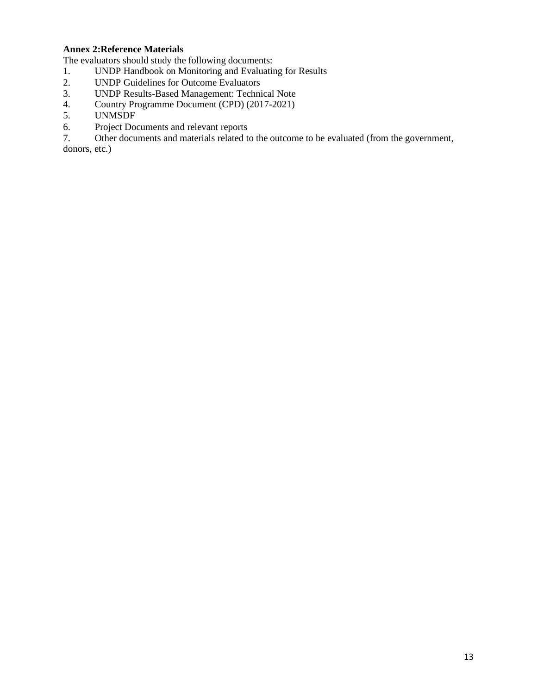# **Annex 2:Reference Materials**

The evaluators should study the following documents:

- 1. UNDP Handbook on Monitoring and Evaluating for Results<br>2. UNDP Guidelines for Outcome Evaluators
- 2. UNDP Guidelines for Outcome Evaluators<br>3. UNDP Results-Based Management: Techni
- 3. UNDP Results-Based Management: Technical Note
- 4. Country Programme Document (CPD) (2017-2021)
- 5. UNMSDF
- 6. Project Documents and relevant reports

7. Other documents and materials related to the outcome to be evaluated (from the government,

donors, etc.)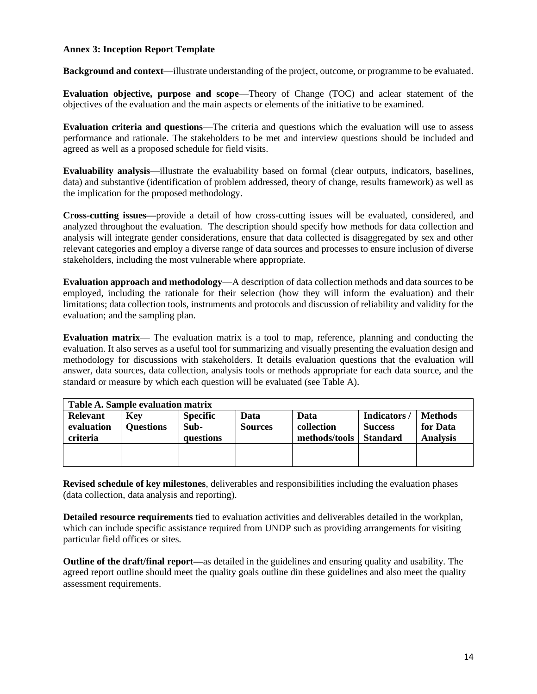### **Annex 3: Inception Report Template**

**Background and context—**illustrate understanding of the project, outcome, or programme to be evaluated.

**Evaluation objective, purpose and scope**—Theory of Change (TOC) and aclear statement of the objectives of the evaluation and the main aspects or elements of the initiative to be examined.

**Evaluation criteria and questions**—The criteria and questions which the evaluation will use to assess performance and rationale. The stakeholders to be met and interview questions should be included and agreed as well as a proposed schedule for field visits.

**Evaluability analysis—**illustrate the evaluability based on formal (clear outputs, indicators, baselines, data) and substantive (identification of problem addressed, theory of change, results framework) as well as the implication for the proposed methodology.

**Cross-cutting issues—**provide a detail of how cross-cutting issues will be evaluated, considered, and analyzed throughout the evaluation. The description should specify how methods for data collection and analysis will integrate gender considerations, ensure that data collected is disaggregated by sex and other relevant categories and employ a diverse range of data sources and processes to ensure inclusion of diverse stakeholders, including the most vulnerable where appropriate.

**Evaluation approach and methodology**—A description of data collection methods and data sources to be employed, including the rationale for their selection (how they will inform the evaluation) and their limitations; data collection tools, instruments and protocols and discussion of reliability and validity for the evaluation; and the sampling plan.

**Evaluation matrix**— The evaluation matrix is a tool to map, reference, planning and conducting the evaluation. It also serves as a useful tool for summarizing and visually presenting the evaluation design and methodology for discussions with stakeholders. It details evaluation questions that the evaluation will answer, data sources, data collection, analysis tools or methods appropriate for each data source, and the standard or measure by which each question will be evaluated (see Table A).

| Table A. Sample evaluation matrix         |                                |                                      |                        |                                     |                                                  |                                               |
|-------------------------------------------|--------------------------------|--------------------------------------|------------------------|-------------------------------------|--------------------------------------------------|-----------------------------------------------|
| <b>Relevant</b><br>evaluation<br>criteria | <b>Key</b><br><b>Questions</b> | <b>Specific</b><br>Sub-<br>questions | Data<br><b>Sources</b> | Data<br>collection<br>methods/tools | Indicators/<br><b>Success</b><br><b>Standard</b> | <b>Methods</b><br>for Data<br><b>Analysis</b> |
|                                           |                                |                                      |                        |                                     |                                                  |                                               |
|                                           |                                |                                      |                        |                                     |                                                  |                                               |

**Revised schedule of key milestones**, deliverables and responsibilities including the evaluation phases (data collection, data analysis and reporting).

**Detailed resource requirements** tied to evaluation activities and deliverables detailed in the workplan, which can include specific assistance required from UNDP such as providing arrangements for visiting particular field offices or sites.

**Outline of the draft/final report—**as detailed in the guidelines and ensuring quality and usability. The agreed report outline should meet the quality goals outline din these guidelines and also meet the quality assessment requirements.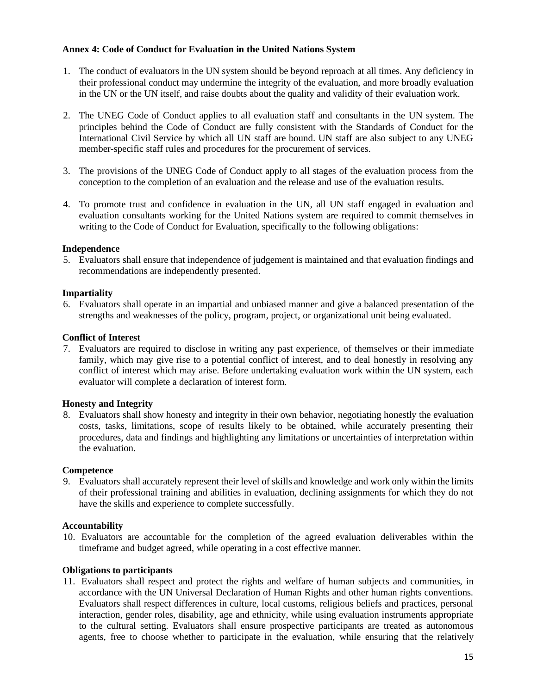### **Annex 4: Code of Conduct for Evaluation in the United Nations System**

- 1. The conduct of evaluators in the UN system should be beyond reproach at all times. Any deficiency in their professional conduct may undermine the integrity of the evaluation, and more broadly evaluation in the UN or the UN itself, and raise doubts about the quality and validity of their evaluation work.
- 2. The UNEG Code of Conduct applies to all evaluation staff and consultants in the UN system. The principles behind the Code of Conduct are fully consistent with the Standards of Conduct for the International Civil Service by which all UN staff are bound. UN staff are also subject to any UNEG member-specific staff rules and procedures for the procurement of services.
- 3. The provisions of the UNEG Code of Conduct apply to all stages of the evaluation process from the conception to the completion of an evaluation and the release and use of the evaluation results.
- 4. To promote trust and confidence in evaluation in the UN, all UN staff engaged in evaluation and evaluation consultants working for the United Nations system are required to commit themselves in writing to the Code of Conduct for Evaluation, specifically to the following obligations:

#### **Independence**

5. Evaluators shall ensure that independence of judgement is maintained and that evaluation findings and recommendations are independently presented.

#### **Impartiality**

6. Evaluators shall operate in an impartial and unbiased manner and give a balanced presentation of the strengths and weaknesses of the policy, program, project, or organizational unit being evaluated.

#### **Conflict of Interest**

7. Evaluators are required to disclose in writing any past experience, of themselves or their immediate family, which may give rise to a potential conflict of interest, and to deal honestly in resolving any conflict of interest which may arise. Before undertaking evaluation work within the UN system, each evaluator will complete a declaration of interest form.

#### **Honesty and Integrity**

8. Evaluators shall show honesty and integrity in their own behavior, negotiating honestly the evaluation costs, tasks, limitations, scope of results likely to be obtained, while accurately presenting their procedures, data and findings and highlighting any limitations or uncertainties of interpretation within the evaluation.

#### **Competence**

9. Evaluators shall accurately represent their level of skills and knowledge and work only within the limits of their professional training and abilities in evaluation, declining assignments for which they do not have the skills and experience to complete successfully.

#### **Accountability**

10. Evaluators are accountable for the completion of the agreed evaluation deliverables within the timeframe and budget agreed, while operating in a cost effective manner.

### **Obligations to participants**

11. Evaluators shall respect and protect the rights and welfare of human subjects and communities, in accordance with the UN Universal Declaration of Human Rights and other human rights conventions. Evaluators shall respect differences in culture, local customs, religious beliefs and practices, personal interaction, gender roles, disability, age and ethnicity, while using evaluation instruments appropriate to the cultural setting. Evaluators shall ensure prospective participants are treated as autonomous agents, free to choose whether to participate in the evaluation, while ensuring that the relatively